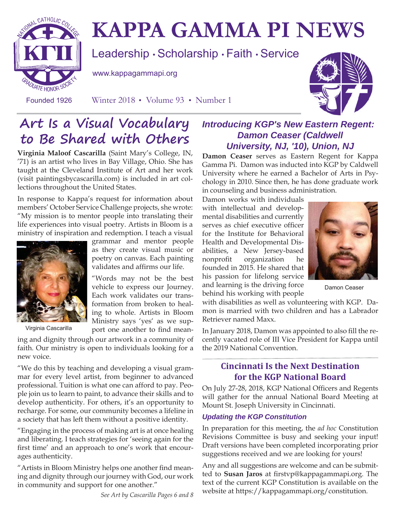

# **KAPPA GAMMA PI NEWS**

Leadership • Scholarship • Faith • Service

www.kappagammapi.org

Founded 1926 Winter 2018 • Volume 93 • Number 1



## **Art Is a Visual Vocabulary to Be Shared with Others**

**Virginia Maloof Cascarilla** (Saint Mary's College, IN, '71) is an artist who lives in Bay Village, Ohio. She has taught at the Cleveland Institute of Art and her work (visit paintingsbycascarilla.com) is included in art collections throughout the United States.

In response to Kappa's request for information about members' October Service Challenge projects, she wrote: "My mission is to mentor people into translating their life experiences into visual poetry. Artists in Bloom is a ministry of inspiration and redemption. I teach a visual



Virginia Cascarilla

grammar and mentor people as they create visual music or poetry on canvas. Each painting validates and affirms our life.

"Words may not be the best vehicle to express our Journey. Each work validates our transformation from broken to healing to whole. Artists in Bloom Ministry says 'yes' as we support one another to find mean-

ing and dignity through our artwork in a community of faith. Our ministry is open to individuals looking for a new voice.

"We do this by teaching and developing a visual grammar for every level artist, from beginner to advanced professional. Tuition is what one can afford to pay. People join us to learn to paint, to advance their skills and to develop authenticity. For others, it's an opportunity to recharge. For some, our community becomes a lifeline in a society that has left them without a positive identity.

"Engaging in the process of making art is at once healing and liberating. I teach strategies for 'seeing again for the first time' and an approach to one's work that encourages authenticity.

"Artists in Bloom Ministry helps one another find meaning and dignity through our journey with God, our work in community and support for one another."

*See Art by Cascarilla Pages 6 and 8*

### *Introducing KGP's New Eastern Regent: Damon Ceaser (Caldwell University, NJ, '10), Union, NJ*

**Damon Ceaser** serves as Eastern Regent for Kappa Gamma Pi. Damon was inducted into KGP by Caldwell University where he earned a Bachelor of Arts in Psychology in 2010. Since then, he has done graduate work in counseling and business administration.

Damon works with individuals with intellectual and developmental disabilities and currently serves as chief executive officer for the Institute for Behavioral Health and Developmental Disabilities, a New Jersey-based nonprofit organization he founded in 2015. He shared that his passion for lifelong service and learning is the driving force behind his working with people



Damon Ceaser

with disabilities as well as volunteering with KGP. Damon is married with two children and has a Labrador Retriever named Maxx.

In January 2018, Damon was appointed to also fill the recently vacated role of III Vice President for Kappa until the 2019 National Convention.

### **Cincinnati Is the Next Destination for the KGP National Board**

On July 27-28, 2018, KGP National Officers and Regents will gather for the annual National Board Meeting at Mount St. Joseph University in Cincinnati.

### *Updating the KGP Constitution*

In preparation for this meeting, the *ad hoc* Constitution Revisions Committee is busy and seeking your input! Draft versions have been completed incorporating prior suggestions received and we are looking for yours!

Any and all suggestions are welcome and can be submitted to Susan Jaros at firstvp@kappagammapi.org. The text of the current KGP Constitution is available on the website at https://kappagammapi.org/constitution.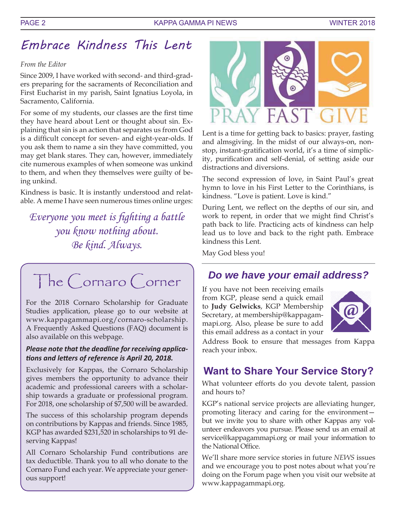## Embrace Kindness This Lent

### *From the Editor*

Since 2009, I have worked with second- and third-graders preparing for the sacraments of Reconciliation and First Eucharist in my parish, Saint Ignatius Loyola, in Sacramento, California.

For some of my students, our classes are the first time they have heard about Lent or thought about sin. Explaining that sin is an action that separates us from God is a difficult concept for seven- and eight-year-olds. If you ask them to name a sin they have committed, you may get blank stares. They can, however, immediately cite numerous examples of when someone was unkind to them, and when they themselves were guilty of being unkind.

Kindness is basic. It is instantly understood and relatable. A meme I have seen numerous times online urges:

Everyone you meet is fighting a battle you know nothing about. Be kind. Always.

## The Cornaro Corner

For the 2018 Cornaro Scholarship for Graduate Studies application, please go to our website at www.kappagammapi.org/cornaro-scholarship. A Frequently Asked Questions (FAQ) document is also available on this webpage.

### *Please note that the deadline for receiving applica*tions and letters of reference is April 20, 2018.

Exclusively for Kappas, the Cornaro Scholarship gives members the opportunity to advance their academic and professional careers with a scholarship towards a graduate or professional program. For 2018, one scholarship of \$7,500 will be awarded.

The success of this scholarship program depends on contributions by Kappas and friends. Since 1985, KGP has awarded \$231,520 in scholarships to 91 deserving Kappas!

All Cornaro Scholarship Fund contributions are tax deductible. Thank you to all who donate to the Cornaro Fund each year. We appreciate your generous support!



Lent is a time for getting back to basics: prayer, fasting and almsgiving. In the midst of our always-on, nonstop, instant-gratification world, it's a time of simplicity, purification and self-denial, of setting aside our distractions and diversions.

The second expression of love, in Saint Paul's great hymn to love in his First Letter to the Corinthians, is kindness. "Love is patient. Love is kind."

During Lent, we reflect on the depths of our sin, and work to repent, in order that we might find Christ's path back to life. Practicing acts of kindness can help lead us to love and back to the right path. Embrace kindness this Lent.

May God bless you!

### *Do we have your email address?*

If you have not been receiving emails from KGP, please send a quick email to **Judy Gelwicks**, KGP Membership Secretary, at membership@kappagammapi.org. Also, please be sure to add this email address as a contact in your



Address Book to ensure that messages from Kappa reach your inbox.

### **Want to Share Your Service Story?**

What volunteer efforts do you devote talent, passion and hours to?

KGP's national service projects are alleviating hunger, promoting literacy and caring for the environment but we invite you to share with other Kappas any volunteer endeavors you pursue. Please send us an email at service@kappagammapi.org or mail your information to the National Office.

We'll share more service stories in future *NEWS* issues and we encourage you to post notes about what you're doing on the Forum page when you visit our website at www.kappagammapi.org.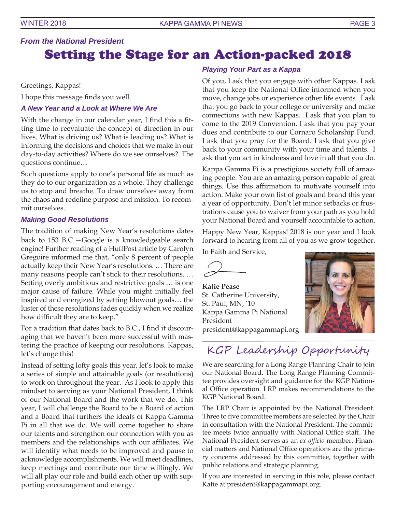### *From the National President* Setting the Stage for an Action-packed 2018

Greetings, Kappas!

I hope this message finds you well.

#### *A New Year and a Look at Where We Are*

With the change in our calendar year, I find this a fitting time to reevaluate the concept of direction in our lives. What is driving us? What is leading us? What is informing the decisions and choices that we make in our day-to-day activities? Where do we see ourselves? The questions continue…

Such questions apply to one's personal life as much as they do to our organization as a whole. They challenge us to stop and breathe. To draw ourselves away from the chaos and redefine purpose and mission. To recommit ourselves.

#### *Making Good Resolutions*

The tradition of making New Year's resolutions dates back to 153 B.C.—Google is a knowledgeable search engine! Further reading of a HuffPost article by Carolyn Gregoire informed me that, "only 8 percent of people actually keep their New Year's resolutions. … There are many reasons people can't stick to their resolutions. … Setting overly ambitious and restrictive goals … is one major cause of failure. While you might initially feel inspired and energized by setting blowout goals... the luster of these resolutions fades quickly when we realize how difficult they are to keep."

For a tradition that dates back to B.C., I find it discouraging that we haven't been more successful with mastering the practice of keeping our resolutions. Kappas, let's change this!

Instead of setting lofty goals this year, let's look to make a series of simple and attainable goals (or resolutions) to work on throughout the year. As I look to apply this mindset to serving as your National President, I think of our National Board and the work that we do. This year, I will challenge the Board to be a Board of action and a Board that furthers the ideals of Kappa Gamma Pi in all that we do. We will come together to share our talents and strengthen our connection with you as members and the relationships with our affiliates. We will identify what needs to be improved and pause to acknowledge accomplishments. We will meet deadlines, keep meetings and contribute our time willingly. We will all play our role and build each other up with supporting encouragement and energy.

#### *Playing Your Part as a Kappa*

Of you, I ask that you engage with other Kappas. I ask that you keep the National Office informed when you move, change jobs or experience other life events. I ask that you go back to your college or university and make connections with new Kappas. I ask that you plan to come to the 2019 Convention. I ask that you pay your dues and contribute to our Cornaro Scholarship Fund. I ask that you pray for the Board. I ask that you give back to your community with your time and talents. I ask that you act in kindness and love in all that you do.

Kappa Gamma Pi is a prestigious society full of amazing people. You are an amazing person capable of great things. Use this affirmation to motivate yourself into action. Make your own list of goals and brand this year a year of opportunity. Don't let minor setbacks or frustrations cause you to waiver from your path as you hold your National Board and yourself accountable to action.

Happy New Year, Kappas! 2018 is our year and I look forward to hearing from all of you as we grow together.

In Faith and Service,

**Katie Pease** St. Catherine University, St. Paul, MN, '10 Kappa Gamma Pi National President president@kappagammapi.org



## KGP Leadership Opportunity

We are searching for a Long Range Planning Chair to join our National Board. The Long Range Planning Committee provides oversight and guidance for the KGP National Office operation. LRP makes recommendations to the KGP National Board.

The LRP Chair is appointed by the National President. Three to five committee members are selected by the Chair in consultation with the National President. The committee meets twice annually with National Office staff. The National President serves as an *ex officio* member. Financial matters and National Office operations are the primary concerns addressed by this committee, together with public relations and strategic planning.

If you are interested in serving in this role, please contact Katie at president@kappagammapi.org.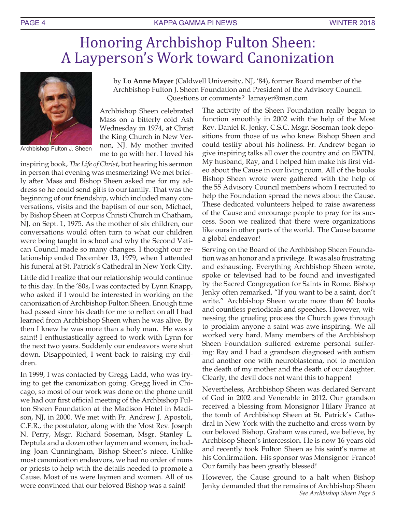## Honoring Archbishop Fulton Sheen: A Layperson's Work toward Canonization



Archbishop Fulton J. Sheen

by **Lo Anne Mayer** (Caldwell University, NJ, '84), former Board member of the Archbishop Fulton J. Sheen Foundation and President of the Advisory Council. Questions or comments? lamayer@msn.com

Archbishop Sheen celebrated Mass on a bitterly cold Ash Wednesday in 1974, at Christ the King Church in New Vernon, NJ. My mother invited me to go with her. I loved his

inspiring book, *The Life of Christ*, but hearing his sermon in person that evening was mesmerizing! We met briefly after Mass and Bishop Sheen asked me for my address so he could send gifts to our family. That was the beginning of our friendship, which included many conversations, visits and the baptism of our son, Michael, by Bishop Sheen at Corpus Christi Church in Chatham, NJ, on Sept. 1, 1975. As the mother of six children, our conversations would often turn to what our children were being taught in school and why the Second Vatican Council made so many changes. I thought our relationship ended December 13, 1979, when I attended his funeral at St. Patrick's Cathedral in New York City.

Little did I realize that our relationship would continue to this day. In the '80s, I was contacted by Lynn Knapp, who asked if I would be interested in working on the canonization of Archbishop Fulton Sheen. Enough time had passed since his death for me to reflect on all I had learned from Archbishop Sheen when he was alive. By then I knew he was more than a holy man. He was a saint! I enthusiastically agreed to work with Lynn for the next two years. Suddenly our endeavors were shut down. Disappointed, I went back to raising my children.

In 1999, I was contacted by Gregg Ladd, who was trying to get the canonization going. Gregg lived in Chicago, so most of our work was done on the phone until we had our first official meeting of the Archbishop Fulton Sheen Foundation at the Madison Hotel in Madison, NJ, in 2000. We met with Fr. Andrew J. Apostoli, C.F.R., the postulator, along with the Most Rev. Joseph N. Perry, Msgr. Richard Soseman, Msgr. Stanley L. Deptula and a dozen other laymen and women, including Joan Cunningham, Bishop Sheen's niece. Unlike most canonization endeavors, we had no order of nuns or priests to help with the details needed to promote a Cause. Most of us were laymen and women. All of us were convinced that our beloved Bishop was a saint!

The activity of the Sheen Foundation really began to function smoothly in 2002 with the help of the Most Rev. Daniel R. Jenky, C.S.C. Msgr. Soseman took depositions from those of us who knew Bishop Sheen and could testify about his holiness. Fr. Andrew began to give inspiring talks all over the country and on EWTN. My husband, Ray, and I helped him make his first video about the Cause in our living room. All of the books Bishop Sheen wrote were gathered with the help of the 55 Advisory Council members whom I recruited to help the Foundation spread the news about the Cause. These dedicated volunteers helped to raise awareness of the Cause and encourage people to pray for its success. Soon we realized that there were organizations like ours in other parts of the world. The Cause became a global endeavor!

Serving on the Board of the Archbishop Sheen Foundation was an honor and a privilege. It was also frustrating and exhausting. Everything Archbishop Sheen wrote, spoke or televised had to be found and investigated by the Sacred Congregation for Saints in Rome. Bishop Jenky often remarked, "If you want to be a saint, don't write." Archbishop Sheen wrote more than 60 books and countless periodicals and speeches. However, witnessing the grueling process the Church goes through to proclaim anyone a saint was awe-inspiring. We all worked very hard. Many members of the Archbishop Sheen Foundation suffered extreme personal suffering: Ray and I had a grandson diagnosed with autism and another one with neuroblastoma, not to mention the death of my mother and the death of our daughter. Clearly, the devil does not want this to happen!

Nevertheless, Archbishop Sheen was declared Servant of God in 2002 and Venerable in 2012. Our grandson received a blessing from Monsignor Hilary Franco at the tomb of Archbishop Sheen at St. Patrick's Cathedral in New York with the zuchetto and cross worn by our beloved Bishop. Graham was cured, we believe, by Archbisop Sheen's intercession. He is now 16 years old and recently took Fulton Sheen as his saint's name at his Confirmation. His sponsor was Monsignor Franco! Our family has been greatly blessed!

*See Archbishop Sheen Page 5* However, the Cause ground to a halt when Bishop Jenky demanded that the remains of Archbishop Sheen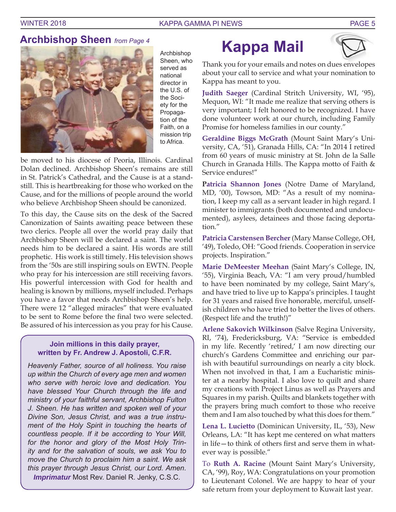

Archbishop Sheen, who served as national director in the U.S. of the Society for the Propagation of the Faith, on a mission trip to Africa.

be moved to his diocese of Peoria, Illinois. Cardinal Dolan declined. Archbishop Sheen's remains are still in St. Patrick's Cathedral, and the Cause is at a standstill. This is heartbreaking for those who worked on the Cause, and for the millions of people around the world who believe Archbishop Sheen should be canonized.

To this day, the Cause sits on the desk of the Sacred Canonization of Saints awaiting peace between these two clerics. People all over the world pray daily that Archbishop Sheen will be declared a saint. The world needs him to be declared a saint. His words are still prophetic. His work is still timely. His television shows from the '50s are still inspiring souls on EWTN. People who pray for his intercession are still receiving favors. His powerful intercession with God for health and healing is known by millions, myself included. Perhaps you have a favor that needs Archbishop Sheen's help. There were 12 "alleged miracles" that were evaluated to be sent to Rome before the final two were selected. Be assured of his intercession as you pray for his Cause.

### **Join millions in this daily prayer, written by Fr. Andrew J. Apostoli, C.F.R.**

*Heavenly Father, source of all holiness. You raise up within the Church of every age men and women who serve with heroic love and dedication. You have blessed Your Church through the life and ministry of your faithful servant, Archbishop Fulton J. Sheen. He has written and spoken well of your Divine Son, Jesus Christ, and was a true instrument of the Holy Spirit in touching the hearts of countless people. If it be according to Your Will, for the honor and glory of the Most Holy Trinity and for the salvation of souls, we ask You to move the Church to proclaim him a saint. We ask this prayer through Jesus Christ, our Lord. Amen*. *Imprimatur* Most Rev. Daniel R. Jenky, C.S.C.

## **Kappa Mail**



Thank you for your emails and notes on dues envelopes about your call to service and what your nomination to Kappa has meant to you.

**Judith Saeger** (Cardinal Stritch University, WI, '95), Mequon, WI: "It made me realize that serving others is very important; I felt honored to be recognized. I have done volunteer work at our church, including Family Promise for homeless families in our county."

**Geraldine Biggs McGrath** (Mount Saint Mary's University, CA, '51), Granada Hills, CA: "In 2014 I retired from 60 years of music ministry at St. John de la Salle Church in Granada Hills. The Kappa motto of Faith  $\&$ Service endures!"

**Patricia Shannon Jones** (Notre Dame of Maryland, MD, '00), Towson, MD: "As a result of my nomination, I keep my call as a servant leader in high regard. I minister to immigrants (both documented and undocumented), asylees, detainees and those facing deportation."

**Patricia Carstensen Bercher** (Mary Manse College, OH, '49), Toledo, OH: "Good friends. Cooperation in service projects. Inspiration."

**Marie DeMeester Meehan** (Saint Mary's College, IN, '55), Virginia Beach, VA: "I am very proud/humbled to have been nominated by my college, Saint Mary's, and have tried to live up to Kappa's principles. I taught for 31 years and raised five honorable, merciful, unselfish children who have tried to better the lives of others. (Respect life and the truth!)"

**Arlene Sakovich Wilkinson** (Salve Regina University, RI, '74), Fredericksburg, VA: "Service is embedded in my life. Recently 'retired,' I am now directing our church's Gardens Committee and enriching our parish with beautiful surroundings on nearly a city block. When not involved in that, I am a Eucharistic minister at a nearby hospital. I also love to quilt and share my creations with Project Linus as well as Prayers and Squares in my parish. Quilts and blankets together with the prayers bring much comfort to those who receive them and I am also touched by what this does for them."

**Lena L. Lucietto** (Dominican University, IL, '53), New Orleans, LA: "It has kept me centered on what matters in life—to think of others first and serve them in whatever way is possible."

To **Ruth A. Racine** (Mount Saint Mary's University, CA, '99), Roy, WA: Congratulations on your promotion to Lieutenant Colonel. We are happy to hear of your safe return from your deployment to Kuwait last year.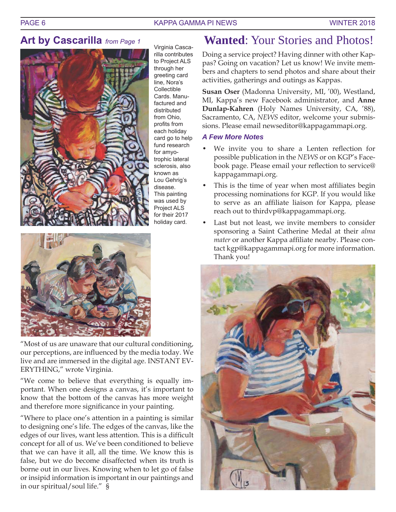### PAGE 6 KAPPA GAMMA PI NEWS WINTER 2018

### **Art by Cascarilla** *from Page 1*



Virginia Cascarilla contributes to Project ALS through her greeting card line, Nora's Collectible Cards. Manufactured and distributed from Ohio, profits from each holiday card go to help fund research for amyotrophic lateral sclerosis, also known as Lou Gehrig's disease. This painting was used by Project ALS for their 2017 holiday card.



"Most of us are unaware that our cultural conditioning, our perceptions, are influenced by the media today. We live and are immersed in the digital age. INSTANT EV-ERYTHING," wrote Virginia.

"We come to believe that everything is equally important. When one designs a canvas, it's important to know that the bottom of the canvas has more weight and therefore more significance in your painting.

"Where to place one's attention in a painting is similar to designing one's life. The edges of the canvas, like the edges of our lives, want less attention. This is a difficult concept for all of us. We've been conditioned to believe that we can have it all, all the time. We know this is false, but we do become disaffected when its truth is borne out in our lives. Knowing when to let go of false or insipid information is important in our paintings and in our spiritual/soul life." §

### **Wanted**: Your Stories and Photos!

Doing a service project? Having dinner with other Kappas? Going on vacation? Let us know! We invite members and chapters to send photos and share about their activities, gatherings and outings as Kappas.

**Susan Oser** (Madonna University, MI, '00), Westland, MI, Kappa's new Facebook administrator, and **Anne Dunlap-Kahren** (Holy Names University, CA, '88), Sacramento, CA, *NEWS* editor, welcome your submissions. Please email newseditor@kappagammapi.org.

### *A Few More Notes*

- We invite you to share a Lenten reflection for possible publication in the *NEWS* or on KGP's Facebook page. Please email your reflection to service@ kappagammapi.org.
- This is the time of year when most affiliates begin processing nominations for KGP. If you would like to serve as an affiliate liaison for Kappa, please reach out to thirdvp@kappagammapi.org.
- Last but not least, we invite members to consider sponsoring a Saint Catherine Medal at their *alma mater* or another Kappa affiliate nearby. Please contact kgp@kappagammapi.org for more information. Thank you!

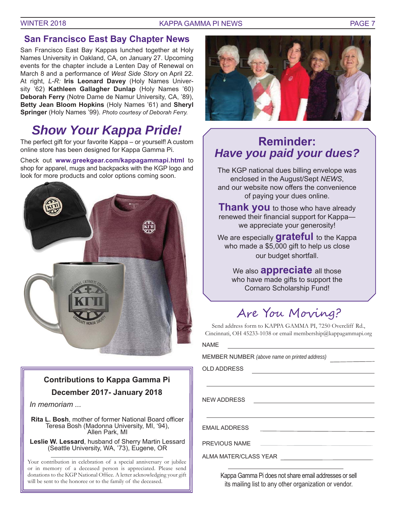#### WINTER 2018 THE RELEASE CONTROLLER WINTER 2018

### **San Francisco East Bay Chapter News**

San Francisco East Bay Kappas lunched together at Holy Names University in Oakland, CA, on January 27. Upcoming events for the chapter include a Lenten Day of Renewal on March 8 and a performance of *West Side Story* on April 22. At right, *L-R:* **Iris Leonard Davey** (Holy Names University '62) **Kathleen Gallagher Dunlap** (Holy Names '60) **Deborah Ferry** (Notre Dame de Namur University, CA, '89), **Betty Jean Bloom Hopkins** (Holy Names '61) and **Sheryl Springer** (Holy Names '99). *Photo courtesy of Deborah Ferry.*

## *Show Your Kappa Pride!*

The perfect gift for your favorite Kappa – or yourself! A custom online store has been designed for Kappa Gamma Pi.

Check out **www.greekgear.com/kappagammapi.html** to shop for apparel, mugs and backpacks with the KGP logo and look for more products and color options coming soon.



## **Contributions to Kappa Gamma Pi**

### **December 2017- January 2018**

*In memoriam ...*

Rita L. Bosh, mother of former National Board officer Teresa Bosh (Madonna University, MI, '94), Allen Park, MI

**Leslie W. Lessard**, husband of Sherry Martin Lessard (Seattle University, WA, '73), Eugene, OR

Your contribution in celebration of a special anniversary or jubilee or in memory of a deceased person is appreciated. Please send donations to the KGP National Office. A letter acknowledging your gift will be sent to the honoree or to the family of the deceased.



## **Reminder:**  *Have you paid your dues?*

The KGP national dues billing envelope was enclosed in the August/Sept *NEWS*, and our website now offers the convenience of paying your dues online.

**Thank you** to those who have already renewed their financial support for Kappawe appreciate your generosity!

We are especially **grateful** to the Kappa who made a \$5,000 gift to help us close our budget shortfall.

We also **appreciate** all those who have made gifts to support the Cornaro Scholarship Fund!

## Are You Moving?

Send address form to KAPPA GAMMA PI, 7250 Overcliff Rd., Cincinnati, OH 45233-1038 or email membership@kappagammapi.org

NAME

MEMBER NUMBER *(above name on printed address)* 

OLD ADDRESS

NEW ADDRESS

EMAIL ADDRESS

PREVIOUS NAME

ALMA MATER/CLASS YEAR

Kappa Gamma Pi does not share email addresses or sell its mailing list to any other organization or vendor.